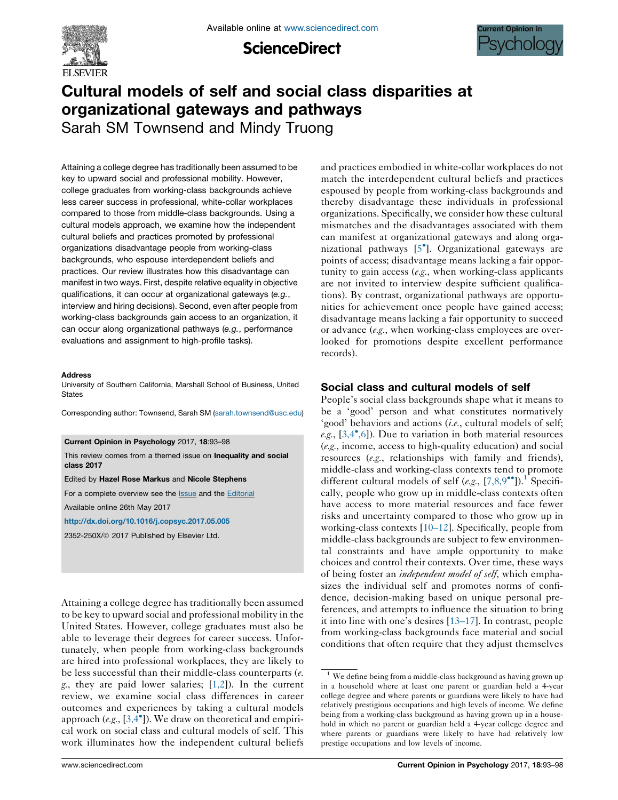

**ScienceDirect** 



# Cultural models of self and social class disparities at organizational gateways and pathways

Sarah SM Townsend and Mindy Truong

Attaining a college degree has traditionally been assumed to be key to upward social and professional mobility. However, college graduates from working-class backgrounds achieve less career success in professional, white-collar workplaces compared to those from middle-class backgrounds. Using a cultural models approach, we examine how the independent cultural beliefs and practices promoted by professional organizations disadvantage people from working-class backgrounds, who espouse interdependent beliefs and practices. Our review illustrates how this disadvantage can manifest in two ways. First, despite relative equality in objective qualifications, it can occur at organizational gateways (e.g., interview and hiring decisions). Second, even after people from working-class backgrounds gain access to an organization, it can occur along organizational pathways (e.g., performance evaluations and assignment to high-profile tasks).

#### Address

University of Southern California, Marshall School of Business, United **States** 

Corresponding author: Townsend, Sarah SM [\(sarah.townsend@usc.edu](mailto:sarah.townsend@usc.edu))

#### Current Opinion in Psychology 2017, 18:93–98

This review comes from a themed issue on Inequality and social class 2017

#### Edited by Hazel Rose Markus and Nicole Stephens

For a complete overview see the **[Issue](http://www.sciencedirect.com/science/journal/2352250X/18)** and the [Editorial](http://dx.doi.org/10.1016/j.copsyc.2017.11.001) Available online 26th May 2017

<http://dx.doi.org/10.1016/j.copsyc.2017.05.005>

2352-250X/ã 2017 Published by Elsevier Ltd.

Attaining a college degree has traditionally been assumed to be key to upward social and professional mobility in the United States. However, college graduates must also be able to leverage their degrees for career success. Unfortunately, when people from working-class backgrounds are hired into professional workplaces, they are likely to be less successful than their middle-class counterparts (e. g., they are paid lower salaries;  $[1,2]$ ). In the current review, we examine social class differences in career outcomes and experiences by taking a cultural models approach (e.g.,  $[3,4^{\bullet}]$ ). We draw on [theoretical](#page-3-0) and empirical work on social class and cultural models of self. This work illuminates how the independent cultural beliefs and practices embodied in white-collar workplaces do not match the interdependent cultural beliefs and practices espoused by people from working-class backgrounds and thereby disadvantage these individuals in professional organizations. Specifically, we consider how these cultural mismatches and the disadvantages associated with them can manifest at organizational gateways and along organizational pathways [5 ]. [Organizational](#page-3-0) gateways are points of access; disadvantage means lacking a fair opportunity to gain access (e.g., when working-class applicants are not invited to interview despite sufficient qualifications). By contrast, organizational pathways are opportunities for achievement once people have gained access; disadvantage means lacking a fair opportunity to succeed or advance (e.g., when working-class employees are overlooked for promotions despite excellent performance records).

# Social class and cultural models of self

People's social class backgrounds shape what it means to be a 'good' person and what constitutes normatively 'good' behaviors and actions (i.e., cultural models of self; e.g.,  $[3,4^{\bullet},6]$  $[3,4^{\bullet},6]$ ). Due to variation in both material resources (e.g., income, access to high-quality education) and social resources (e.g., relationships with family and friends), middle-class and working-class contexts tend to promote different cultural models of self (e.g.,  $[7,8,9^{\bullet\bullet}]$  $[7,8,9^{\bullet\bullet}]$  $[7,8,9^{\bullet\bullet}]$ ).<sup>1</sup> Specifically, people who grow up in middle-class contexts often have access to more material resources and face fewer risks and uncertainty compared to those who grow up in working-class contexts [[10–12\]](#page-3-0). Specifically, people from middle-class backgrounds are subject to few environmental constraints and have ample opportunity to make choices and control their contexts. Over time, these ways of being foster an *independent model of self*, which emphasizes the individual self and promotes norms of confidence, decision-making based on unique personal preferences, and attempts to influence the situation to bring it into line with one's desires [\[13–17](#page-3-0)]. In contrast, people from working-class backgrounds face material and social conditions that often require that they adjust themselves

 $1$  We define being from a middle-class background as having grown up in a household where at least one parent or guardian held a 4-year college degree and where parents or guardians were likely to have had relatively prestigious occupations and high levels of income. We define being from a working-class background as having grown up in a household in which no parent or guardian held a 4-year college degree and where parents or guardians were likely to have had relatively low prestige occupations and low levels of income.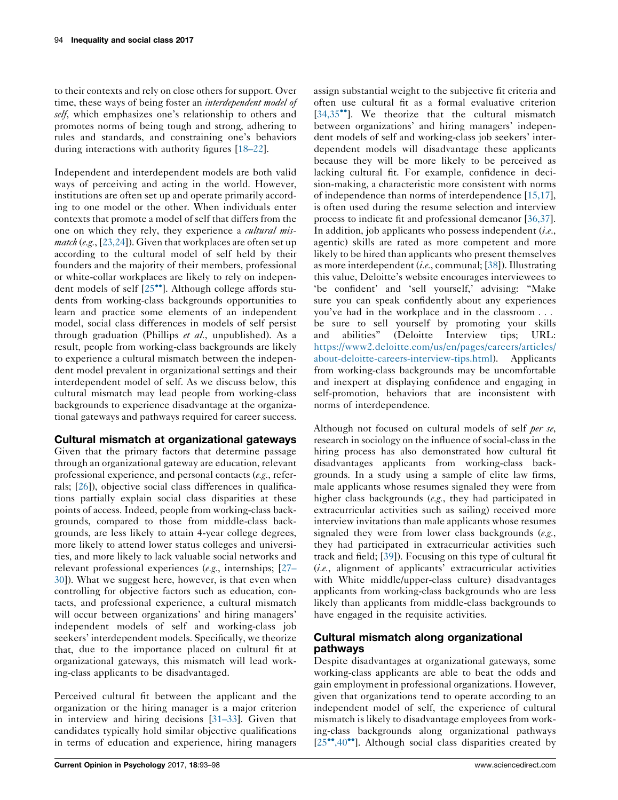to their contexts and rely on close others for support. Over time, these ways of being foster an *interdependent model of* self, which emphasizes one's relationship to others and promotes norms of being tough and strong, adhering to rules and standards, and constraining one's behaviors during interactions with authority figures [\[18–22](#page-4-0)].

Independent and interdependent models are both valid ways of perceiving and acting in the world. However, institutions are often set up and operate primarily according to one model or the other. When individuals enter contexts that promote a model of self that differs from the one on which they rely, they experience a *cultural mismatch* (e.g., [[23,24](#page-4-0)]). Given that workplaces are often set up according to the cultural model of self held by their founders and the majority of their members, professional or white-collar workplaces are likely to rely on independent models of self  $[25\degree]$ . [Although](#page-4-0) college affords students from working-class backgrounds opportunities to learn and practice some elements of an independent model, social class differences in models of self persist through graduation (Phillips et al., unpublished). As a result, people from working-class backgrounds are likely to experience a cultural mismatch between the independent model prevalent in organizational settings and their interdependent model of self. As we discuss below, this cultural mismatch may lead people from working-class backgrounds to experience disadvantage at the organizational gateways and pathways required for career success.

# Cultural mismatch at organizational gateways

Given that the primary factors that determine passage through an organizational gateway are education, relevant professional experience, and personal contacts (e.g., referrals; [[26\]](#page-4-0)), objective social class differences in qualifications partially explain social class disparities at these points of access. Indeed, people from working-class backgrounds, compared to those from middle-class backgrounds, are less likely to attain 4-year college degrees, more likely to attend lower status colleges and universities, and more likely to lack valuable social networks and relevant professional experiences (e.g., internships; [\[27–](#page-4-0) [30\]](#page-4-0)). What we suggest here, however, is that even when controlling for objective factors such as education, contacts, and professional experience, a cultural mismatch will occur between organizations' and hiring managers' independent models of self and working-class job seekers' interdependent models. Specifically, we theorize that, due to the importance placed on cultural fit at organizational gateways, this mismatch will lead working-class applicants to be disadvantaged.

Perceived cultural fit between the applicant and the organization or the hiring manager is a major criterion in interview and hiring decisions [\[31–33](#page-4-0)]. Given that candidates typically hold similar objective qualifications in terms of education and experience, hiring managers

assign substantial weight to the subjective fit criteria and often use cultural fit as a formal evaluative criterion  $[34.35<sup>•</sup>]$ . We theorize that the cultural [mismatch](#page-4-0) between organizations' and hiring managers' independent models of self and working-class job seekers' interdependent models will disadvantage these applicants because they will be more likely to be perceived as lacking cultural fit. For example, confidence in decision-making, a characteristic more consistent with norms of independence than norms of interdependence [\[15,17](#page-4-0)], is often used during the resume selection and interview process to indicate fit and professional demeanor [\[36,37](#page-4-0)]. In addition, job applicants who possess independent (i.e., agentic) skills are rated as more competent and more likely to be hired than applicants who present themselves as more interdependent (i.e., communal;  $[38]$  $[38]$ ). Illustrating this value, Deloitte's website encourages interviewees to 'be confident' and 'sell yourself,' advising: "Make sure you can speak confidently about any experiences you've had in the workplace and in the classroom . . . be sure to sell yourself by promoting your skills and abilities" (Deloitte Interview tips; URL: [https://www2.deloitte.com/us/en/pages/careers/articles/](https://www2.deloitte.com/us/en/pages/careers/articles/about-deloitte-careers-interview-tips.html) [about-deloitte-careers-interview-tips.html](https://www2.deloitte.com/us/en/pages/careers/articles/about-deloitte-careers-interview-tips.html)). Applicants from working-class backgrounds may be uncomfortable and inexpert at displaying confidence and engaging in self-promotion, behaviors that are inconsistent with norms of interdependence.

Although not focused on cultural models of self per se, research in sociology on the influence of social-class in the hiring process has also demonstrated how cultural fit disadvantages applicants from working-class backgrounds. In a study using a sample of elite law firms, male applicants whose resumes signaled they were from higher class backgrounds (e.g., they had participated in extracurricular activities such as sailing) received more interview invitations than male applicants whose resumes signaled they were from lower class backgrounds (e.g., they had participated in extracurricular activities such track and field; [\[39](#page-4-0)]). Focusing on this type of cultural fit  $(i.e.,$  alignment of applicants' extracurricular activities with White middle/upper-class culture) disadvantages applicants from working-class backgrounds who are less likely than applicants from middle-class backgrounds to have engaged in the requisite activities.

# Cultural mismatch along organizational pathways

Despite disadvantages at organizational gateways, some working-class applicants are able to beat the odds and gain employment in professional organizations. However, given that organizations tend to operate according to an independent model of self, the experience of cultural mismatch is likely to disadvantage employees from working-class backgrounds along organizational pathways  $[25\degree, 40\degree]$ . Although social class [disparities](#page-4-0) created by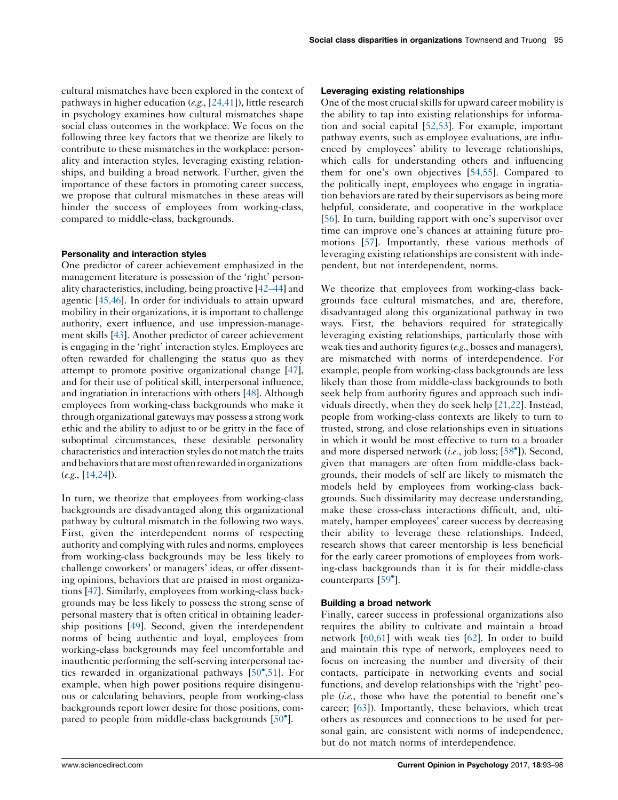cultural mismatches have been explored in the context of pathways in higher education (e.g., [\[24,41](#page-4-0)]), little research in psychology examines how cultural mismatches shape social class outcomes in the workplace. We focus on the following three key factors that we theorize are likely to contribute to these mismatches in the workplace: personality and interaction styles, leveraging existing relationships, and building a broad network. Further, given the importance of these factors in promoting career success, we propose that cultural mismatches in these areas will hinder the success of employees from working-class, compared to middle-class, backgrounds.

## Personality and interaction styles

One predictor of career achievement emphasized in the management literature is possession of the 'right' personality characteristics, including, being proactive [\[42–44\]](#page-4-0) and agentic [[45,46\]](#page-4-0). In order for individuals to attain upward mobility in their organizations, it is important to challenge authority, exert influence, and use impression-management skills [[43\]](#page-4-0). Another predictor of career achievement is engaging in the 'right' interaction styles. Employees are often rewarded for challenging the status quo as they attempt to promote positive organizational change [[47](#page-5-0)], and for their use of political skill, interpersonal influence, and ingratiation in interactions with others [\[48\]](#page-5-0). Although employees from working-class backgrounds who make it through organizational gateways may possess a strong work ethic and the ability to adjust to or be gritty in the face of suboptimal circumstances, these desirable personality characteristics and interaction styles do not match the traits and behaviors that are most often rewarded in organizations (e.g., [[14,24\]](#page-4-0)).

In turn, we theorize that employees from working-class backgrounds are disadvantaged along this organizational pathway by cultural mismatch in the following two ways. First, given the interdependent norms of respecting authority and complying with rules and norms, employees from working-class backgrounds may be less likely to challenge coworkers' or managers' ideas, or offer dissenting opinions, behaviors that are praised in most organizations [\[47](#page-5-0)]. Similarly, employees from working-class backgrounds may be less likely to possess the strong sense of personal mastery that is often critical in obtaining leadership positions [\[49](#page-5-0)]. Second, given the interdependent norms of being authentic and loyal, employees from working-class backgrounds may feel uncomfortable and inauthentic performing the self-serving interpersonal tactics rewarded in organizational pathways [50 [,51](#page-5-0)]. For example, when high power positions require disingenuous or calculating behaviors, people from working-class backgrounds report lower desire for those positions, com-pared to people from middle-class backgrounds [\[50](#page-5-0)<sup>°</sup>].

### Leveraging existing relationships

One of the most crucial skills for upward career mobility is the ability to tap into existing relationships for information and social capital [\[52,53\]](#page-5-0). For example, important pathway events, such as employee evaluations, are influenced by employees' ability to leverage relationships, which calls for understanding others and influencing them for one's own objectives [\[54,55\]](#page-5-0). Compared to the politically inept, employees who engage in ingratiation behaviors are rated by their supervisors as being more helpful, considerate, and cooperative in the workplace [[56](#page-5-0)]. In turn, building rapport with one's supervisor over time can improve one's chances at attaining future promotions [\[57](#page-5-0)]. Importantly, these various methods of leveraging existing relationships are consistent with independent, but not interdependent, norms.

We theorize that employees from working-class backgrounds face cultural mismatches, and are, therefore, disadvantaged along this organizational pathway in two ways. First, the behaviors required for strategically leveraging existing relationships, particularly those with weak ties and authority figures (e.g., bosses and managers), are mismatched with norms of interdependence. For example, people from working-class backgrounds are less likely than those from middle-class backgrounds to both seek help from authority figures and approach such individuals directly, when they do seek help [[21,22](#page-4-0)]. Instead, people from working-class contexts are likely to turn to trusted, strong, and close relationships even in situations in which it would be most effective to turn to a broader and more dispersed network (i.e., job loss; [58°]). [Second,](#page-5-0) given that managers are often from middle-class backgrounds, their models of self are likely to mismatch the models held by employees from working-class backgrounds. Such dissimilarity may decrease understanding, make these cross-class interactions difficult, and, ultimately, hamper employees' career success by decreasing their ability to leverage these relationships. Indeed, research shows that career mentorship is less beneficial for the early career promotions of employees from working-class backgrounds than it is for their middle-class counterparts [\[59](#page-5-0) ].

#### Building a broad network

Finally, career success in professional organizations also requires the ability to cultivate and maintain a broad network [[60,61](#page-5-0)] with weak ties [\[62](#page-5-0)]. In order to build and maintain this type of network, employees need to focus on increasing the number and diversity of their contacts, participate in networking events and social functions, and develop relationships with the 'right' people  $(i.e.,$  those who have the potential to benefit one's career; [[63\]](#page-5-0)). Importantly, these behaviors, which treat others as resources and connections to be used for personal gain, are consistent with norms of independence, but do not match norms of interdependence.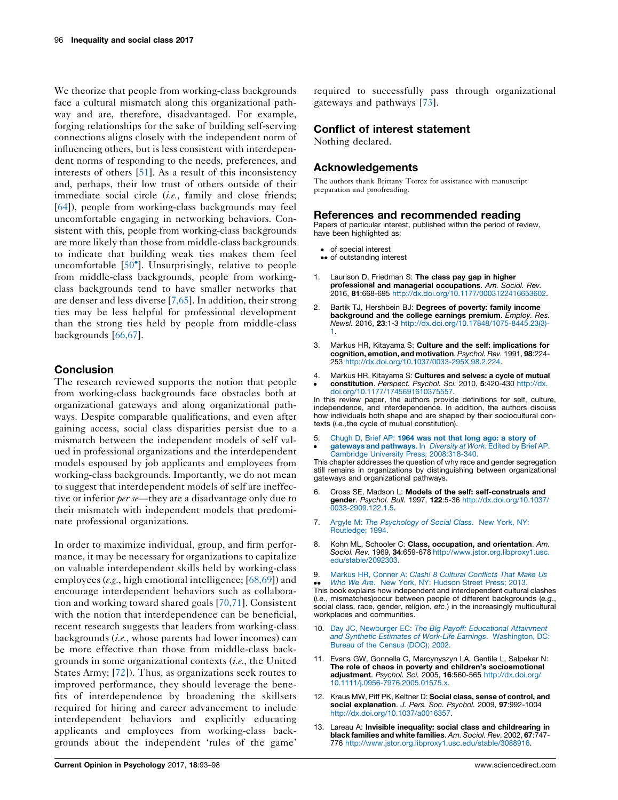<span id="page-3-0"></span>We theorize that people from working-class backgrounds face a cultural mismatch along this organizational pathway and are, therefore, disadvantaged. For example, forging relationships for the sake of building self-serving connections aligns closely with the independent norm of influencing others, but is less consistent with interdependent norms of responding to the needs, preferences, and interests of others [[51\]](#page-5-0). As a result of this inconsistency and, perhaps, their low trust of others outside of their immediate social circle (i.e., family and close friends; [\[64](#page-5-0)]), people from working-class backgrounds may feel uncomfortable engaging in networking behaviors. Consistent with this, people from working-class backgrounds are more likely than those from middle-class backgrounds to indicate that building weak ties makes them feel uncomfortable [50 ]. [Unsurprisingly,](#page-5-0) relative to people from middle-class backgrounds, people from workingclass backgrounds tend to have smaller networks that are denser and less diverse [7,65]. In addition, their strong ties may be less helpful for professional development than the strong ties held by people from middle-class backgrounds [\[66,67\]](#page-5-0).

# **Conclusion**

The research reviewed supports the notion that people from working-class backgrounds face obstacles both at organizational gateways and along organizational pathways. Despite comparable qualifications, and even after gaining access, social class disparities persist due to a mismatch between the independent models of self valued in professional organizations and the interdependent models espoused by job applicants and employees from working-class backgrounds. Importantly, we do not mean to suggest that interdependent models of self are ineffective or inferior *per se*—they are a disadvantage only due to their mismatch with independent models that predominate professional organizations.

In order to maximize individual, group, and firm performance, it may be necessary for organizations to capitalize on valuable interdependent skills held by working-class employees (e.g., high emotional intelligence; [[68,69\]](#page-5-0)) and encourage interdependent behaviors such as collaboration and working toward shared goals [\[70,71\]](#page-5-0). Consistent with the notion that interdependence can be beneficial, recent research suggests that leaders from working-class backgrounds  $(i.e.,$  whose parents had lower incomes) can be more effective than those from middle-class backgrounds in some organizational contexts  $(i.e.,$  the United States Army; [\[72](#page-5-0)]). Thus, as organizations seek routes to improved performance, they should leverage the benefits of interdependence by broadening the skillsets required for hiring and career advancement to include interdependent behaviors and explicitly educating applicants and employees from working-class backgrounds about the independent 'rules of the game'

required to successfully pass through organizational gateways and pathways [\[73](#page-5-0)].

## Conflict of interest statement

Nothing declared.

## Acknowledgements

The authors thank Brittany Torrez for assistance with manuscript preparation and proofreading.

#### References and recommended reading

Papers of particular interest, published within the period of review, have been highlighted as:

- of special interest
- •• of outstanding interest
- 1. Laurison D, Friedman S: The class pay gap in higher professional and managerial occupations. Am. Sociol. Rev. 2016, 81:668-695 <http://dx.doi.org/10.1177/0003122416653602>.
- 2. Bartik TJ, Hershbein BJ: Degrees of poverty: family income background and the college earnings premium. Employ. Res. Newsl. 2016, 23:1-3 [http://dx.doi.org/10.17848/1075-8445.23\(3\)-](http://dx.doi.org/10.17848/1075-8445.23(3)-1) [1.](http://dx.doi.org/10.17848/1075-8445.23(3)-1)
- 3. Markus HR, Kitayama S: Culture and the self: implications for cognition, emotion, and motivation. Psychol. Rev. 1991, 98:224- 253 <http://dx.doi.org/10.1037/0033-295X.98.2.224>.
- 4.  $\bullet$ Markus HR, Kitayama S: Cultures and selves: a cycle of mutual constitution. Perspect. Psychol. Sci. 2010, 5:420-430 [http://dx.](http://dx.doi.org/10.1177/1745691610375557) [doi.org/10.1177/1745691610375557](http://dx.doi.org/10.1177/1745691610375557).

In this review paper, the authors provide definitions for self, culture, independence, and interdependence. In addition, the authors discuss how individuals both shape and are shaped by their sociocultural contexts (i.e.,the cycle of mutual constitution).

5.  $\cdot$ [Chugh](http://refhub.elsevier.com/S2352-250X(17)30095-7/sbref0025) D, Brief AP: 1964 was not that long ago: a story of gateways and [pathways](http://refhub.elsevier.com/S2352-250X(17)30095-7/sbref0025). In Diversity at Work. Edited by Brief AP. Cambridge University Press; [2008:318-340](http://refhub.elsevier.com/S2352-250X(17)30095-7/sbref0025).

This chapter addresses the question of why race and gender segregation still remains in organizations by distinguishing between organizational gateways and organizational pathways.

- 6. Cross SE, Madson L: Models of the self: self-construals and gender. Psychol. Bull. 1997, 122:5-36 [http://dx.doi.org/10.1037/](http://dx.doi.org/10.1037/0033-2909.122.1.5) [0033-2909.122.1.5](http://dx.doi.org/10.1037/0033-2909.122.1.5).
- 7. Argyle M: The [Psychology](http://refhub.elsevier.com/S2352-250X(17)30095-7/sbref0035) of Social Class. New York, NY: [Routledge;](http://refhub.elsevier.com/S2352-250X(17)30095-7/sbref0035) 1994.
- 8. Kohn ML, Schooler C: Class, occupation, and orientation. Am. Sociol. Rev. 1969, 34:659-678 [http://www.jstor.org.libproxy1.usc.](http://www.jstor.org.libproxy1.usc.edu/stable/2092303) [edu/stable/2092303](http://www.jstor.org.libproxy1.usc.edu/stable/2092303).
- 9. Markus HR, Conner A: Clash! 8 Cultural [Conflicts](http://refhub.elsevier.com/S2352-250X(17)30095-7/sbref0045) That Make Us

• *Who We Are.* New York, NY: Hudson Street Press; 2013.<br>This book explains how independent and interdependent cultural clashes Who We Are. New York, NY: [Hudson](http://refhub.elsevier.com/S2352-250X(17)30095-7/sbref0045) Street Press; 2013. (i.e., mismatches)occur between people of different backgrounds (e.g., social class, race, gender, religion, etc.) in the increasingly multicultural workplaces and communities.

- 10. Day JC, Newburger EC: The Big Payoff: [Educational](http://refhub.elsevier.com/S2352-250X(17)30095-7/sbref0050) Attainment and Synthetic Estimates of Work-Life Earnings. [Washington,](http://refhub.elsevier.com/S2352-250X(17)30095-7/sbref0050) DC: Bureau of the [Census](http://refhub.elsevier.com/S2352-250X(17)30095-7/sbref0050) (DOC); 2002.
- 11. Evans GW, Gonnella C, Marcynyszyn LA, Gentile L, Salpekar N: The role of chaos in poverty and children's socioemotional adjustment. Psychol. Sci. 2005, 16:560-565 [http://dx.doi.org/](http://dx.doi.org/10.1111/j.0956-7976.2005.01575.x) [10.1111/j.0956-7976.2005.01575.x.](http://dx.doi.org/10.1111/j.0956-7976.2005.01575.x)
- 12. Kraus MW, Piff PK, Keltner D: Social class, sense of control, and social explanation. J. Pers. Soc. Psychol. 2009, 97:992-1004 [http://dx.doi.org/10.1037/a0016357.](http://dx.doi.org/10.1037/a0016357)
- 13. Lareau A: Invisible inequality: social class and childrearing in black families and white families. Am. Sociol. Rev. 2002, 67:747- 776 <http://www.jstor.org.libproxy1.usc.edu/stable/3088916>.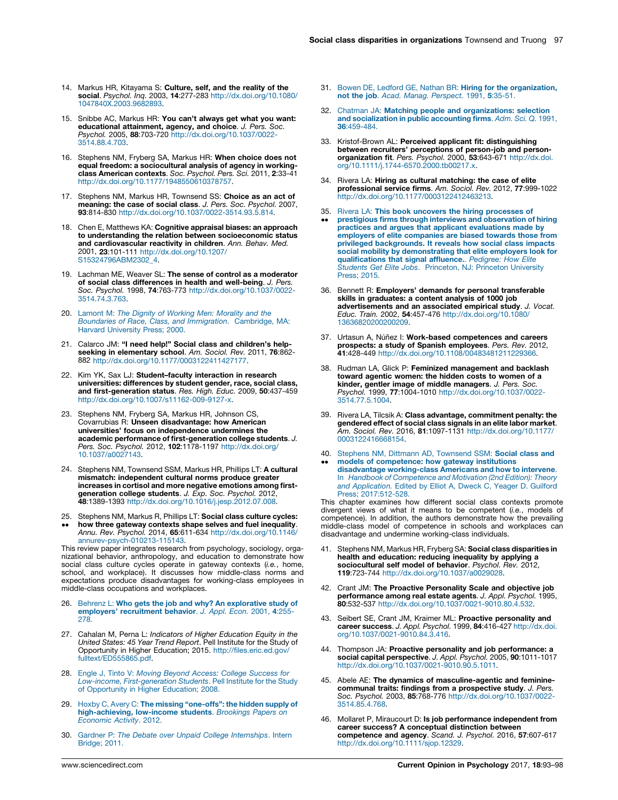- <span id="page-4-0"></span>14. Markus HR, Kitayama S: Culture, self, and the reality of the social. Psychol. Inq. 2003, 14:277-283 [http://dx.doi.org/10.1080/](http://dx.doi.org/10.1080/1047840X.2003.9682893) [1047840X.2003.9682893](http://dx.doi.org/10.1080/1047840X.2003.9682893).
- 15. Snibbe AC, Markus HR: You can't always get what you want: educational attainment, agency, and choice. J. Pers. Soc. Psychol. 2005, 88:703-720 [http://dx.doi.org/10.1037/0022-](http://dx.doi.org/10.1037/0022-3514.88.4.703) [3514.88.4.703](http://dx.doi.org/10.1037/0022-3514.88.4.703).
- 16. Stephens NM, Fryberg SA, Markus HR: When choice does not equal freedom: a sociocultural analysis of agency in working**class American contexts**. Soc. *Psychol. Pers. Sci.* 2011, **2**:33-41<br>[http://dx.doi.org/10.1177/1948550610378757.](http://dx.doi.org/10.1177/1948550610378757)
- 17. Stephens NM, Markus HR, Townsend SS: Choice as an act of meaning: the case of social class. J. Pers. Soc. Psychol. 2007, 93:814-830 <http://dx.doi.org/10.1037/0022-3514.93.5.814>.
- 18. Chen E, Matthews KA: Cognitive appraisal biases: an approach to understanding the relation between socioeconomic status and cardiovascular reactivity in children. Ann. Behav. Med. 2001, 23:101-111 [http://dx.doi.org/10.1207/](http://dx.doi.org/10.1207/S15324796ABM2302_4) [S15324796ABM2302\\_4](http://dx.doi.org/10.1207/S15324796ABM2302_4).
- 19. Lachman ME, Weaver SL: The sense of control as a moderator of social class differences in health and well-being. J. Pers. Soc. Psychol. 1998, 74:763-773 [http://dx.doi.org/10.1037/0022-](http://dx.doi.org/10.1037/0022-3514.74.3.763) [3514.74.3.763](http://dx.doi.org/10.1037/0022-3514.74.3.763).
- 20. Lamont M: The Dignity of [Working](http://refhub.elsevier.com/S2352-250X(17)30095-7/sbref0100) Men: Morality and the Boundaries of Race, Class, and [Immigration](http://refhub.elsevier.com/S2352-250X(17)30095-7/sbref0100). Cambridge, MA: Harvard [University](http://refhub.elsevier.com/S2352-250X(17)30095-7/sbref0100) Press; 2000.
- 21. Calarco JM: "I need help!" Social class and children's help**seeking in elementary school**. *Am. Sociol. Rev.* 2011, **76**:862-<br>882 [http://dx.doi.org/10.1177/0003122411427177.](http://dx.doi.org/10.1177/0003122411427177)
- 22. Kim YK, Sax LJ: Student–faculty interaction in research universities: differences by student gender, race, social class, and first-generation status. Res. High. Educ. 2009, 50:437-459 <http://dx.doi.org/10.1007/s11162-009-9127-x>.
- 23. Stephens NM, Fryberg SA, Markus HR, Johnson CS, Covarrubias R: Unseen disadvantage: how American universities' focus on independence undermines the academic performance of first-generation college students. J. Pers. Soc. Psychol. 2012, 102:1178-1197 [http://dx.doi.org/](http://dx.doi.org/10.1037/a0027143) [10.1037/a0027143.](http://dx.doi.org/10.1037/a0027143)
- 24. Stephens NM, Townsend SSM, Markus HR, Phillips LT: A cultural mismatch: independent cultural norms produce greater increases in cortisol and more negative emotions among first**generation college students**. J*. Exp. Soc. Psychol.* 2012,<br>**48**:1389-1393 <http://dx.doi.org/10.1016/j.jesp.2012.07.008>.
- 25. Stephens NM, Markus R, Phillips LT: **Social class culture cycles:**
- $\bullet$ **how three gateway contexts shape selves and fuel inequality.**<br>Annu. Rev. Psychol. 2014, **65**:611-634 [http://dx.doi.org/10.1146/](http://dx.doi.org/10.1146/annurev-psych-010213-115143) [annurev-psych-010213-115143](http://dx.doi.org/10.1146/annurev-psych-010213-115143).

This review paper integrates research from psychology, sociology, organizational behavior, anthropology, and education to demonstrate how social class culture cycles operate in gateway contexts (i.e., home, school, and workplace). It discusses how middle-class norms and expectations produce disadvantages for working-class employees in middle-class occupations and workplaces.

- 26. Behrenz L: Who gets the job and why? An [explorative](http://refhub.elsevier.com/S2352-250X(17)30095-7/sbref0130) study of employers' [recruitment](http://refhub.elsevier.com/S2352-250X(17)30095-7/sbref0130) behavior. J. Appl. Econ. 2001, 4:255- [278.](http://refhub.elsevier.com/S2352-250X(17)30095-7/sbref0130)
- 27. Cahalan M, Perna L: Indicators of Higher Education Equity in the United States: 45 Year Trend Report. Pell Institute for the Study of Opportunity in Higher Education; 2015. [http://files.eric.ed.gov/](http://files.eric.ed.gov/fulltext/ED555865.pdf) [fulltext/ED555865.pdf.](http://files.eric.ed.gov/fulltext/ED555865.pdf)
- 28. Engle J, Tinto V: Moving Beyond Access: College [Success](http://refhub.elsevier.com/S2352-250X(17)30095-7/sbref0140) for Low-income, [First-generation](http://refhub.elsevier.com/S2352-250X(17)30095-7/sbref0140) Students. Pell Institute for the Study of [Opportunity](http://refhub.elsevier.com/S2352-250X(17)30095-7/sbref0140) in Higher Education; 2008.
- 29. Hoxby C, Avery C: The missing ["one-offs":](http://refhub.elsevier.com/S2352-250X(17)30095-7/sbref0145) the hidden supply of [high-achieving,](http://refhub.elsevier.com/S2352-250X(17)30095-7/sbref0145) low-income students. Brookings Papers on [Economic](http://refhub.elsevier.com/S2352-250X(17)30095-7/sbref0145) Activity. 2012.
- 30. Gardner P: The Debate over Unpaid College [Internships](http://refhub.elsevier.com/S2352-250X(17)30095-7/sbref0150). Intern [Bridge;](http://refhub.elsevier.com/S2352-250X(17)30095-7/sbref0150) 2011.
- 31. Bowen DE, Ledford GE, Nathan BR: Hiring for the [organization,](http://refhub.elsevier.com/S2352-250X(17)30095-7/sbref0155) not the job. Acad. Manag. [Perspect.](http://refhub.elsevier.com/S2352-250X(17)30095-7/sbref0155) 1991, 5:35-51.
- 32. Chatman JA: Matching people and [organizations:](http://refhub.elsevier.com/S2352-250X(17)30095-7/sbref0160) selection and [socialization](http://refhub.elsevier.com/S2352-250X(17)30095-7/sbref0160) in public accounting firms. Adm. Sci. Q. 1991, 36[:459-484.](http://refhub.elsevier.com/S2352-250X(17)30095-7/sbref0160)
- 33. Kristof-Brown AL: Perceived applicant fit: distinguishing between recruiters' perceptions of person-job and person-<br>organization fit. Pers. Psychol. 2000, 53:643-671 [http://dx.doi.](http://dx.doi.org/10.1111/j.1744-6570.2000.tb00217.x) [org/10.1111/j.1744-6570.2000.tb00217.x](http://dx.doi.org/10.1111/j.1744-6570.2000.tb00217.x).
- 34. Rivera LA: Hiring as cultural matching: the case of elite professional service firms. Am. Sociol. Rev. 2012, 77:999-1022 [http://dx.doi.org/10.1177/0003122412463213.](http://dx.doi.org/10.1177/0003122412463213)
- 35. Rivera LA: This book uncovers the hiring [processes](http://refhub.elsevier.com/S2352-250X(17)30095-7/sbref0175) of
- $\ddot{\phantom{0}}$ prestigious firms through interviews and [observation](http://refhub.elsevier.com/S2352-250X(17)30095-7/sbref0175) of hiring practices and argues that applicant [evaluations](http://refhub.elsevier.com/S2352-250X(17)30095-7/sbref0175) made by employers of elite [companies](http://refhub.elsevier.com/S2352-250X(17)30095-7/sbref0175) are biased towards those from privileged [backgrounds.](http://refhub.elsevier.com/S2352-250X(17)30095-7/sbref0175) It reveals how social class impacts social mobility by [demonstrating](http://refhub.elsevier.com/S2352-250X(17)30095-7/sbref0175) that elite employers look for [qualifications](http://refhub.elsevier.com/S2352-250X(17)30095-7/sbref0175) that signal affluence.. Pedigree: How Elite Students Get Elite Jobs. [Princeton,](http://refhub.elsevier.com/S2352-250X(17)30095-7/sbref0175) NJ: Princeton University [Press;](http://refhub.elsevier.com/S2352-250X(17)30095-7/sbref0175) 2015.
- 36. Bennett R: Employers' demands for personal transferable skills in graduates: a content analysis of 1000 job advertisements and an associated empirical study. J. Vocat. Educ. Train. 2002, 54:457-476 [http://dx.doi.org/10.1080/](http://dx.doi.org/10.1080/13636820200200209) [13636820200200209.](http://dx.doi.org/10.1080/13636820200200209)
- 37. Urtasun A, Núñez I: Work-based competences and careers prospects: a study of Spanish employees. Pers. Rev. 2012, 41:428-449 <http://dx.doi.org/10.1108/00483481211229366>.
- 38. Rudman LA, Glick P: Feminized management and backlash toward agentic women: the hidden costs to women of a kinder, gentler image of middle managers. J. Pers. Soc. Psychol. 1999, 77:1004-1010 [http://dx.doi.org/10.1037/0022-](http://dx.doi.org/10.1037/0022-3514.77.5.1004) [3514.77.5.1004](http://dx.doi.org/10.1037/0022-3514.77.5.1004).
- 39. Rivera LA, Tilcsik A: Class advantage, commitment penalty: the gendered effect of social class signals in an elite labor market. Am. Sociol. Rev. 2016, 81:1097-1131 [http://dx.doi.org/10.1177/](http://dx.doi.org/10.1177/0003122416668154) [0003122416668154.](http://dx.doi.org/10.1177/0003122416668154)
- 40. Stephens NM, Dittmann AD, [Townsend](http://refhub.elsevier.com/S2352-250X(17)30095-7/sbref0200) SSM: Social class and  $\ddot{\phantom{0}}$ models of [competence:](http://refhub.elsevier.com/S2352-250X(17)30095-7/sbref0200) how gateway institutions disadvantage [working-class](http://refhub.elsevier.com/S2352-250X(17)30095-7/sbref0200) Americans and how to intervene. In Handbook of [Competence](http://refhub.elsevier.com/S2352-250X(17)30095-7/sbref0200) and Motivation (2nd Edition): Theory and [Application.](http://refhub.elsevier.com/S2352-250X(17)30095-7/sbref0200) Edited by Elliot A, Dweck C, Yeager D. Guilford Press; [2017:512-528](http://refhub.elsevier.com/S2352-250X(17)30095-7/sbref0200).

This chapter examines how different social class contexts promote divergent views of what it means to be competent (i.e., models of competence). In addition, the authors demonstrate how the prevailing middle-class model of competence in schools and workplaces can disadvantage and undermine working-class individuals.

- Stephens NM, Markus HR, Fryberg SA: Social class disparities in health and education: reducing inequality by applying a sociocultural self model of behavior. Psychol. Rev. 2012, 119:723-744 <http://dx.doi.org/10.1037/a0029028>.
- 42. Crant JM: The Proactive Personality Scale and objective job performance among real estate agents. J. Appl. Psychol. 1995, 80:532-537 <http://dx.doi.org/10.1037/0021-9010.80.4.532>.
- 43. Seibert SE, Crant JM, Kraimer ML: Proactive personality and career success. J. Appl. Psychol. 1999, 84:416-427 [http://dx.doi.](http://dx.doi.org/10.1037/0021-9010.84.3.416) [org/10.1037/0021-9010.84.3.416.](http://dx.doi.org/10.1037/0021-9010.84.3.416)
- 44. Thompson JA: Proactive personality and job performance: a **social capital perspective**. *J. Appl. Psychol.* 2005, **90**:1011-1017<br>[http://dx.doi.org/10.1037/0021-9010.90.5.1011.](http://dx.doi.org/10.1037/0021-9010.90.5.1011)
- 45. Abele AE: The dynamics of masculine-agentic and femininecommunal traits: findings from a prospective study. J. Pers. Soc. Psychol. 2003, 85:768-776 [http://dx.doi.org/10.1037/0022-](http://dx.doi.org/10.1037/0022-3514.85.4.768) [3514.85.4.768](http://dx.doi.org/10.1037/0022-3514.85.4.768).
- 46. Mollaret P, Miraucourt D: Is job performance independent from career success? A conceptual distinction between competence and agency. Scand. J. Psychol. 2016, 57:607-617 [http://dx.doi.org/10.1111/sjop.12329.](http://dx.doi.org/10.1111/sjop.12329)